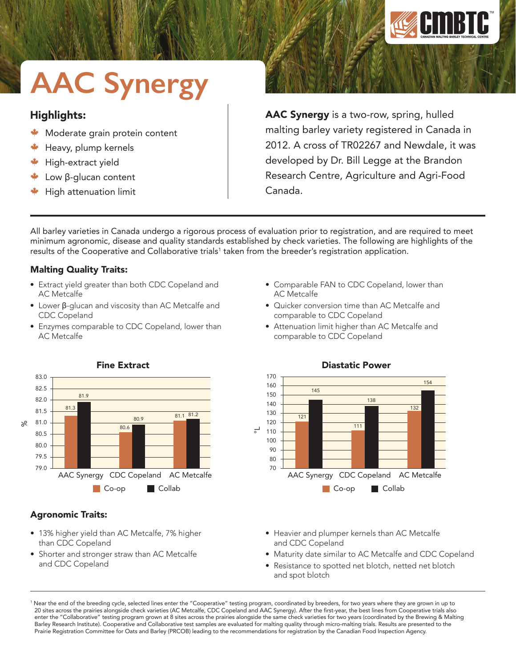

# **AAC Synergy**

## Highlights:

- Moderate grain protein content
- Heavy, plump kernels
- High-extract yield
- Low β-glucan content
- High attenuation limit

AAC Synergy is a two-row, spring, hulled malting barley variety registered in Canada in 2012. A cross of TR02267 and Newdale, it was developed by Dr. Bill Legge at the Brandon Research Centre, Agriculture and Agri-Food Canada.

All barley varieties in Canada undergo a rigorous process of evaluation prior to registration, and are required to meet minimum agronomic, disease and quality standards established by check varieties. The following are highlights of the results of the Cooperative and Collaborative trials<sup>1</sup> taken from the breeder's registration application.

## Malting Quality Traits:

- Extract yield greater than both CDC Copeland and AC Metcalfe
- Lower β-glucan and viscosity than AC Metcalfe and CDC Copeland
- Enzymes comparable to CDC Copeland, lower than AC Metcalfe
- Comparable FAN to CDC Copeland, lower than AC Metcalfe
- Quicker conversion time than AC Metcalfe and comparable to CDC Copeland
- Attenuation limit higher than AC Metcalfe and comparable to CDC Copeland



• 13% higher yield than AC Metcalfe, 7% higher

• Shorter and stronger straw than AC Metcalfe

than CDC Copeland

Agronomic Traits:

and CDC Copeland

## Fine Extract

• Heavier and plumper kernels than AC Metcalfe and CDC Copeland

- Maturity date similar to AC Metcalfe and CDC Copeland
- Resistance to spotted net blotch, netted net blotch and spot blotch



<sup>1</sup> Near the end of the breeding cycle, selected lines enter the "Cooperative" testing program, coordinated by breeders, for two years where they are grown in up to 20 sites across the prairies alongside check varieties (AC Metcalfe, CDC Copeland and AAC Synergy). After the first-year, the best lines from Cooperative trials also enter the "Collaborative" testing program grown at 8 sites across the prairies alongside the same check varieties for two years (coordinated by the Brewing & Malting Barley Research Institute). Cooperative and Collaborative test samples are evaluated for malting quality through micro-malting trials. Results are presented to the Prairie Registration Committee for Oats and Barley (PRCOB) leading to the recommendations for registration by the Canadian Food Inspection Agency.